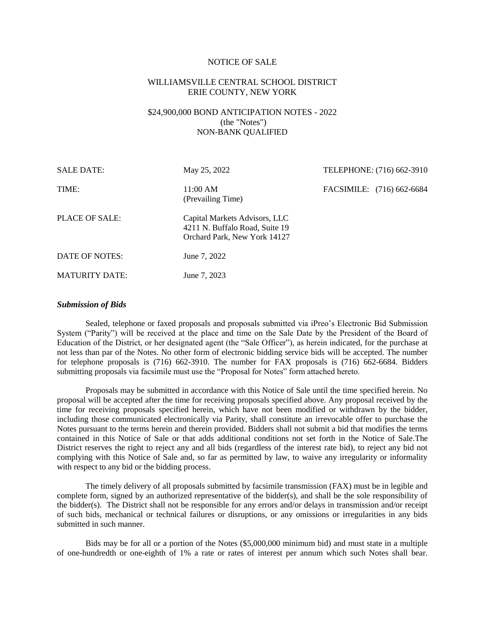#### NOTICE OF SALE

# WILLIAMSVILLE CENTRAL SCHOOL DISTRICT ERIE COUNTY, NEW YORK

# \$24,900,000 BOND ANTICIPATION NOTES - 2022 (the "Notes") NON-BANK QUALIFIED

| <b>SALE DATE:</b>     | May 25, 2022                                                                                    | TELEPHONE: (716) 662-3910 |  |
|-----------------------|-------------------------------------------------------------------------------------------------|---------------------------|--|
| TIME:                 | 11:00 AM<br>(Prevailing Time)                                                                   | FACSIMILE: (716) 662-6684 |  |
| <b>PLACE OF SALE:</b> | Capital Markets Advisors, LLC<br>4211 N. Buffalo Road, Suite 19<br>Orchard Park, New York 14127 |                           |  |
| DATE OF NOTES:        | June 7, 2022                                                                                    |                           |  |
| <b>MATURITY DATE:</b> | June 7, 2023                                                                                    |                           |  |

# *Submission of Bids*

Sealed, telephone or faxed proposals and proposals submitted via iPreo's Electronic Bid Submission System ("Parity") will be received at the place and time on the Sale Date by the President of the Board of Education of the District, or her designated agent (the "Sale Officer"), as herein indicated, for the purchase at not less than par of the Notes. No other form of electronic bidding service bids will be accepted. The number for telephone proposals is (716) 662-3910. The number for FAX proposals is (716) 662-6684. Bidders submitting proposals via facsimile must use the "Proposal for Notes" form attached hereto.

Proposals may be submitted in accordance with this Notice of Sale until the time specified herein. No proposal will be accepted after the time for receiving proposals specified above. Any proposal received by the time for receiving proposals specified herein, which have not been modified or withdrawn by the bidder, including those communicated electronically via Parity, shall constitute an irrevocable offer to purchase the Notes pursuant to the terms herein and therein provided. Bidders shall not submit a bid that modifies the terms contained in this Notice of Sale or that adds additional conditions not set forth in the Notice of Sale.The District reserves the right to reject any and all bids (regardless of the interest rate bid), to reject any bid not complying with this Notice of Sale and, so far as permitted by law, to waive any irregularity or informality with respect to any bid or the bidding process.

The timely delivery of all proposals submitted by facsimile transmission (FAX) must be in legible and complete form, signed by an authorized representative of the bidder(s), and shall be the sole responsibility of the bidder(s). The District shall not be responsible for any errors and/or delays in transmission and/or receipt of such bids, mechanical or technical failures or disruptions, or any omissions or irregularities in any bids submitted in such manner.

Bids may be for all or a portion of the Notes (\$5,000,000 minimum bid) and must state in a multiple of one-hundredth or one-eighth of 1% a rate or rates of interest per annum which such Notes shall bear.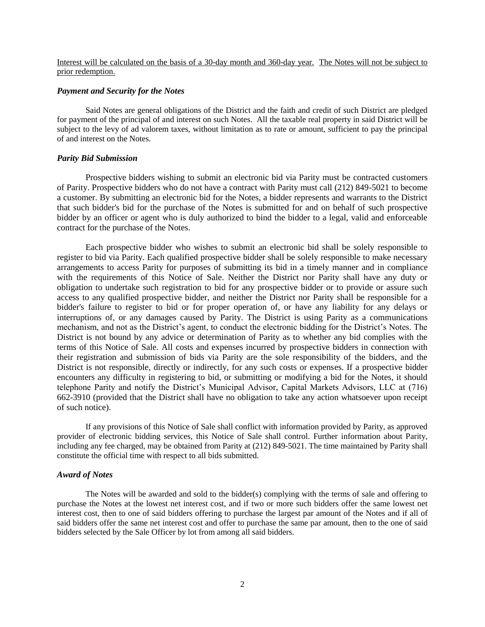# Interest will be calculated on the basis of a 30-day month and 360-day year. The Notes will not be subject to prior redemption.

# *Payment and Security for the Notes*

Said Notes are general obligations of the District and the faith and credit of such District are pledged for payment of the principal of and interest on such Notes. All the taxable real property in said District will be subject to the levy of ad valorem taxes, without limitation as to rate or amount, sufficient to pay the principal of and interest on the Notes.

## *Parity Bid Submission*

Prospective bidders wishing to submit an electronic bid via Parity must be contracted customers of Parity. Prospective bidders who do not have a contract with Parity must call (212) 849-5021 to become a customer. By submitting an electronic bid for the Notes, a bidder represents and warrants to the District that such bidder's bid for the purchase of the Notes is submitted for and on behalf of such prospective bidder by an officer or agent who is duly authorized to bind the bidder to a legal, valid and enforceable contract for the purchase of the Notes.

Each prospective bidder who wishes to submit an electronic bid shall be solely responsible to register to bid via Parity. Each qualified prospective bidder shall be solely responsible to make necessary arrangements to access Parity for purposes of submitting its bid in a timely manner and in compliance with the requirements of this Notice of Sale. Neither the District nor Parity shall have any duty or obligation to undertake such registration to bid for any prospective bidder or to provide or assure such access to any qualified prospective bidder, and neither the District nor Parity shall be responsible for a bidder's failure to register to bid or for proper operation of, or have any liability for any delays or interruptions of, or any damages caused by Parity. The District is using Parity as a communications mechanism, and not as the District's agent, to conduct the electronic bidding for the District's Notes. The District is not bound by any advice or determination of Parity as to whether any bid complies with the terms of this Notice of Sale. All costs and expenses incurred by prospective bidders in connection with their registration and submission of bids via Parity are the sole responsibility of the bidders, and the District is not responsible, directly or indirectly, for any such costs or expenses. If a prospective bidder encounters any difficulty in registering to bid, or submitting or modifying a bid for the Notes, it should telephone Parity and notify the District's Municipal Advisor, Capital Markets Advisors, LLC at (716) 662-3910 (provided that the District shall have no obligation to take any action whatsoever upon receipt of such notice).

If any provisions of this Notice of Sale shall conflict with information provided by Parity, as approved provider of electronic bidding services, this Notice of Sale shall control. Further information about Parity, including any fee charged, may be obtained from Parity at (212) 849-5021. The time maintained by Parity shall constitute the official time with respect to all bids submitted.

## *Award of Notes*

The Notes will be awarded and sold to the bidder(s) complying with the terms of sale and offering to purchase the Notes at the lowest net interest cost, and if two or more such bidders offer the same lowest net interest cost, then to one of said bidders offering to purchase the largest par amount of the Notes and if all of said bidders offer the same net interest cost and offer to purchase the same par amount, then to the one of said bidders selected by the Sale Officer by lot from among all said bidders.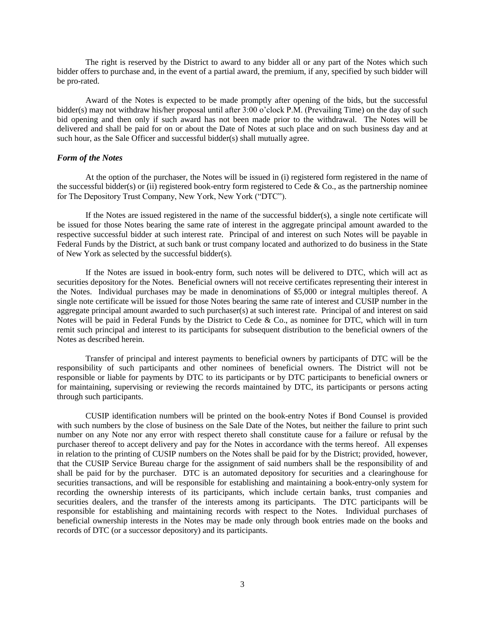The right is reserved by the District to award to any bidder all or any part of the Notes which such bidder offers to purchase and, in the event of a partial award, the premium, if any, specified by such bidder will be pro-rated.

Award of the Notes is expected to be made promptly after opening of the bids, but the successful bidder(s) may not withdraw his/her proposal until after 3:00 o'clock P.M. (Prevailing Time) on the day of such bid opening and then only if such award has not been made prior to the withdrawal. The Notes will be delivered and shall be paid for on or about the Date of Notes at such place and on such business day and at such hour, as the Sale Officer and successful bidder(s) shall mutually agree.

## *Form of the Notes*

At the option of the purchaser, the Notes will be issued in (i) registered form registered in the name of the successful bidder(s) or (ii) registered book-entry form registered to Cede  $& Co.,$  as the partnership nominee for The Depository Trust Company, New York, New York ("DTC").

If the Notes are issued registered in the name of the successful bidder(s), a single note certificate will be issued for those Notes bearing the same rate of interest in the aggregate principal amount awarded to the respective successful bidder at such interest rate. Principal of and interest on such Notes will be payable in Federal Funds by the District, at such bank or trust company located and authorized to do business in the State of New York as selected by the successful bidder(s).

If the Notes are issued in book-entry form, such notes will be delivered to DTC, which will act as securities depository for the Notes. Beneficial owners will not receive certificates representing their interest in the Notes. Individual purchases may be made in denominations of \$5,000 or integral multiples thereof. A single note certificate will be issued for those Notes bearing the same rate of interest and CUSIP number in the aggregate principal amount awarded to such purchaser(s) at such interest rate. Principal of and interest on said Notes will be paid in Federal Funds by the District to Cede & Co., as nominee for DTC, which will in turn remit such principal and interest to its participants for subsequent distribution to the beneficial owners of the Notes as described herein.

Transfer of principal and interest payments to beneficial owners by participants of DTC will be the responsibility of such participants and other nominees of beneficial owners. The District will not be responsible or liable for payments by DTC to its participants or by DTC participants to beneficial owners or for maintaining, supervising or reviewing the records maintained by DTC, its participants or persons acting through such participants.

CUSIP identification numbers will be printed on the book-entry Notes if Bond Counsel is provided with such numbers by the close of business on the Sale Date of the Notes, but neither the failure to print such number on any Note nor any error with respect thereto shall constitute cause for a failure or refusal by the purchaser thereof to accept delivery and pay for the Notes in accordance with the terms hereof. All expenses in relation to the printing of CUSIP numbers on the Notes shall be paid for by the District; provided, however, that the CUSIP Service Bureau charge for the assignment of said numbers shall be the responsibility of and shall be paid for by the purchaser. DTC is an automated depository for securities and a clearinghouse for securities transactions, and will be responsible for establishing and maintaining a book-entry-only system for recording the ownership interests of its participants, which include certain banks, trust companies and securities dealers, and the transfer of the interests among its participants. The DTC participants will be responsible for establishing and maintaining records with respect to the Notes. Individual purchases of beneficial ownership interests in the Notes may be made only through book entries made on the books and records of DTC (or a successor depository) and its participants.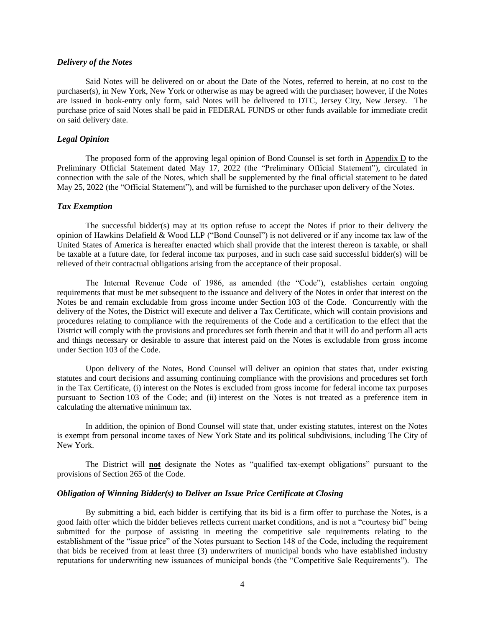## *Delivery of the Notes*

Said Notes will be delivered on or about the Date of the Notes, referred to herein, at no cost to the purchaser(s), in New York, New York or otherwise as may be agreed with the purchaser; however, if the Notes are issued in book-entry only form, said Notes will be delivered to DTC, Jersey City, New Jersey. The purchase price of said Notes shall be paid in FEDERAL FUNDS or other funds available for immediate credit on said delivery date.

# *Legal Opinion*

The proposed form of the approving legal opinion of Bond Counsel is set forth in Appendix D to the Preliminary Official Statement dated May 17, 2022 (the "Preliminary Official Statement"), circulated in connection with the sale of the Notes, which shall be supplemented by the final official statement to be dated May 25, 2022 (the "Official Statement"), and will be furnished to the purchaser upon delivery of the Notes.

## *Tax Exemption*

The successful bidder(s) may at its option refuse to accept the Notes if prior to their delivery the opinion of Hawkins Delafield & Wood LLP ("Bond Counsel") is not delivered or if any income tax law of the United States of America is hereafter enacted which shall provide that the interest thereon is taxable, or shall be taxable at a future date, for federal income tax purposes, and in such case said successful bidder(s) will be relieved of their contractual obligations arising from the acceptance of their proposal.

The Internal Revenue Code of 1986, as amended (the "Code"), establishes certain ongoing requirements that must be met subsequent to the issuance and delivery of the Notes in order that interest on the Notes be and remain excludable from gross income under Section 103 of the Code. Concurrently with the delivery of the Notes, the District will execute and deliver a Tax Certificate, which will contain provisions and procedures relating to compliance with the requirements of the Code and a certification to the effect that the District will comply with the provisions and procedures set forth therein and that it will do and perform all acts and things necessary or desirable to assure that interest paid on the Notes is excludable from gross income under Section 103 of the Code.

Upon delivery of the Notes, Bond Counsel will deliver an opinion that states that, under existing statutes and court decisions and assuming continuing compliance with the provisions and procedures set forth in the Tax Certificate, (i) interest on the Notes is excluded from gross income for federal income tax purposes pursuant to Section 103 of the Code; and (ii) interest on the Notes is not treated as a preference item in calculating the alternative minimum tax.

In addition, the opinion of Bond Counsel will state that, under existing statutes, interest on the Notes is exempt from personal income taxes of New York State and its political subdivisions, including The City of New York.

The District will **not** designate the Notes as "qualified tax-exempt obligations" pursuant to the provisions of Section 265 of the Code.

### *Obligation of Winning Bidder(s) to Deliver an Issue Price Certificate at Closing*

By submitting a bid, each bidder is certifying that its bid is a firm offer to purchase the Notes, is a good faith offer which the bidder believes reflects current market conditions, and is not a "courtesy bid" being submitted for the purpose of assisting in meeting the competitive sale requirements relating to the establishment of the "issue price" of the Notes pursuant to Section 148 of the Code, including the requirement that bids be received from at least three (3) underwriters of municipal bonds who have established industry reputations for underwriting new issuances of municipal bonds (the "Competitive Sale Requirements"). The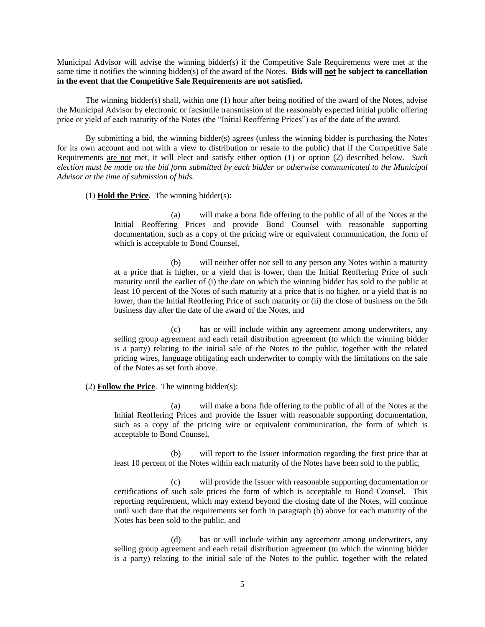Municipal Advisor will advise the winning bidder(s) if the Competitive Sale Requirements were met at the same time it notifies the winning bidder(s) of the award of the Notes. **Bids will not be subject to cancellation in the event that the Competitive Sale Requirements are not satisfied.**

The winning bidder(s) shall, within one (1) hour after being notified of the award of the Notes, advise the Municipal Advisor by electronic or facsimile transmission of the reasonably expected initial public offering price or yield of each maturity of the Notes (the "Initial Reoffering Prices") as of the date of the award.

By submitting a bid, the winning bidder(s) agrees (unless the winning bidder is purchasing the Notes for its own account and not with a view to distribution or resale to the public) that if the Competitive Sale Requirements are not met, it will elect and satisfy either option (1) or option (2) described below. *Such election must be made on the bid form submitted by each bidder or otherwise communicated to the Municipal Advisor at the time of submission of bids.*

(1) **Hold the Price**. The winning bidder(s):

(a) will make a bona fide offering to the public of all of the Notes at the Initial Reoffering Prices and provide Bond Counsel with reasonable supporting documentation, such as a copy of the pricing wire or equivalent communication, the form of which is acceptable to Bond Counsel,

(b) will neither offer nor sell to any person any Notes within a maturity at a price that is higher, or a yield that is lower, than the Initial Reoffering Price of such maturity until the earlier of (i) the date on which the winning bidder has sold to the public at least 10 percent of the Notes of such maturity at a price that is no higher, or a yield that is no lower, than the Initial Reoffering Price of such maturity or (ii) the close of business on the 5th business day after the date of the award of the Notes, and

(c) has or will include within any agreement among underwriters, any selling group agreement and each retail distribution agreement (to which the winning bidder is a party) relating to the initial sale of the Notes to the public, together with the related pricing wires, language obligating each underwriter to comply with the limitations on the sale of the Notes as set forth above.

### (2) **Follow the Price**. The winning bidder(s):

(a) will make a bona fide offering to the public of all of the Notes at the Initial Reoffering Prices and provide the Issuer with reasonable supporting documentation, such as a copy of the pricing wire or equivalent communication, the form of which is acceptable to Bond Counsel,

(b) will report to the Issuer information regarding the first price that at least 10 percent of the Notes within each maturity of the Notes have been sold to the public,

(c) will provide the Issuer with reasonable supporting documentation or certifications of such sale prices the form of which is acceptable to Bond Counsel. This reporting requirement, which may extend beyond the closing date of the Notes, will continue until such date that the requirements set forth in paragraph (b) above for each maturity of the Notes has been sold to the public, and

(d) has or will include within any agreement among underwriters, any selling group agreement and each retail distribution agreement (to which the winning bidder is a party) relating to the initial sale of the Notes to the public, together with the related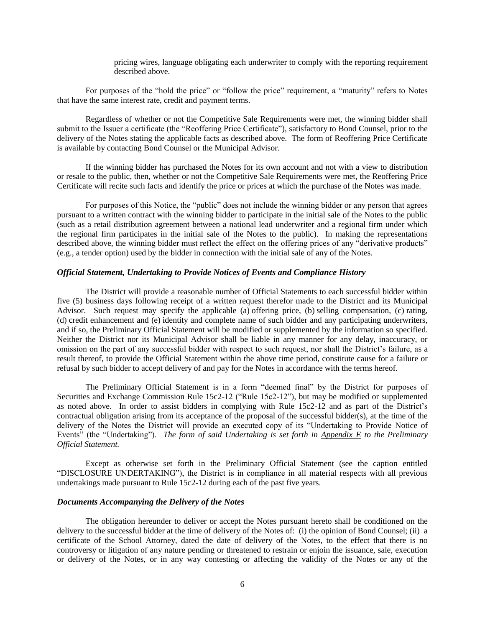pricing wires, language obligating each underwriter to comply with the reporting requirement described above.

For purposes of the "hold the price" or "follow the price" requirement, a "maturity" refers to Notes that have the same interest rate, credit and payment terms.

Regardless of whether or not the Competitive Sale Requirements were met, the winning bidder shall submit to the Issuer a certificate (the "Reoffering Price Certificate"), satisfactory to Bond Counsel, prior to the delivery of the Notes stating the applicable facts as described above. The form of Reoffering Price Certificate is available by contacting Bond Counsel or the Municipal Advisor.

If the winning bidder has purchased the Notes for its own account and not with a view to distribution or resale to the public, then, whether or not the Competitive Sale Requirements were met, the Reoffering Price Certificate will recite such facts and identify the price or prices at which the purchase of the Notes was made.

For purposes of this Notice, the "public" does not include the winning bidder or any person that agrees pursuant to a written contract with the winning bidder to participate in the initial sale of the Notes to the public (such as a retail distribution agreement between a national lead underwriter and a regional firm under which the regional firm participates in the initial sale of the Notes to the public). In making the representations described above, the winning bidder must reflect the effect on the offering prices of any "derivative products" (e.g., a tender option) used by the bidder in connection with the initial sale of any of the Notes.

## *Official Statement, Undertaking to Provide Notices of Events and Compliance History*

The District will provide a reasonable number of Official Statements to each successful bidder within five (5) business days following receipt of a written request therefor made to the District and its Municipal Advisor. Such request may specify the applicable (a) offering price, (b) selling compensation, (c) rating, (d) credit enhancement and (e) identity and complete name of such bidder and any participating underwriters, and if so, the Preliminary Official Statement will be modified or supplemented by the information so specified. Neither the District nor its Municipal Advisor shall be liable in any manner for any delay, inaccuracy, or omission on the part of any successful bidder with respect to such request, nor shall the District's failure, as a result thereof, to provide the Official Statement within the above time period, constitute cause for a failure or refusal by such bidder to accept delivery of and pay for the Notes in accordance with the terms hereof.

The Preliminary Official Statement is in a form "deemed final" by the District for purposes of Securities and Exchange Commission Rule 15c2-12 ("Rule 15c2-12"), but may be modified or supplemented as noted above. In order to assist bidders in complying with Rule 15c2-12 and as part of the District's contractual obligation arising from its acceptance of the proposal of the successful bidder(s), at the time of the delivery of the Notes the District will provide an executed copy of its "Undertaking to Provide Notice of Events" (the "Undertaking"). *The form of said Undertaking is set forth in Appendix E to the Preliminary Official Statement.*

Except as otherwise set forth in the Preliminary Official Statement (see the caption entitled "DISCLOSURE UNDERTAKING"), the District is in compliance in all material respects with all previous undertakings made pursuant to Rule 15c2-12 during each of the past five years.

### *Documents Accompanying the Delivery of the Notes*

The obligation hereunder to deliver or accept the Notes pursuant hereto shall be conditioned on the delivery to the successful bidder at the time of delivery of the Notes of: (i) the opinion of Bond Counsel; (ii) a certificate of the School Attorney, dated the date of delivery of the Notes, to the effect that there is no controversy or litigation of any nature pending or threatened to restrain or enjoin the issuance, sale, execution or delivery of the Notes, or in any way contesting or affecting the validity of the Notes or any of the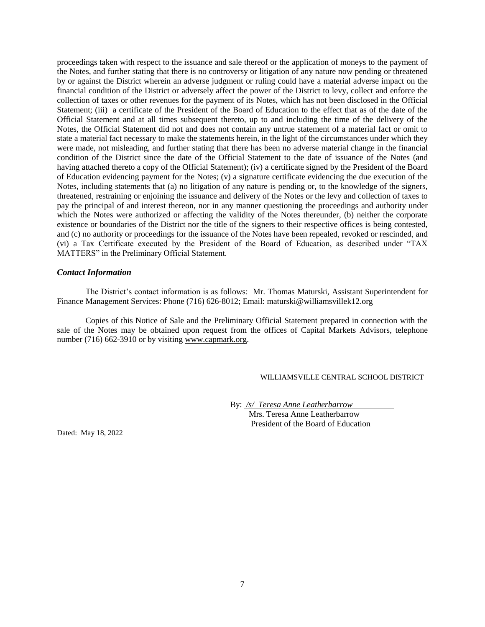proceedings taken with respect to the issuance and sale thereof or the application of moneys to the payment of the Notes, and further stating that there is no controversy or litigation of any nature now pending or threatened by or against the District wherein an adverse judgment or ruling could have a material adverse impact on the financial condition of the District or adversely affect the power of the District to levy, collect and enforce the collection of taxes or other revenues for the payment of its Notes, which has not been disclosed in the Official Statement; (iii) a certificate of the President of the Board of Education to the effect that as of the date of the Official Statement and at all times subsequent thereto, up to and including the time of the delivery of the Notes, the Official Statement did not and does not contain any untrue statement of a material fact or omit to state a material fact necessary to make the statements herein, in the light of the circumstances under which they were made, not misleading, and further stating that there has been no adverse material change in the financial condition of the District since the date of the Official Statement to the date of issuance of the Notes (and having attached thereto a copy of the Official Statement); (iv) a certificate signed by the President of the Board of Education evidencing payment for the Notes; (v) a signature certificate evidencing the due execution of the Notes, including statements that (a) no litigation of any nature is pending or, to the knowledge of the signers, threatened, restraining or enjoining the issuance and delivery of the Notes or the levy and collection of taxes to pay the principal of and interest thereon, nor in any manner questioning the proceedings and authority under which the Notes were authorized or affecting the validity of the Notes thereunder, (b) neither the corporate existence or boundaries of the District nor the title of the signers to their respective offices is being contested, and (c) no authority or proceedings for the issuance of the Notes have been repealed, revoked or rescinded, and (vi) a Tax Certificate executed by the President of the Board of Education, as described under "TAX MATTERS" in the Preliminary Official Statement.

## *Contact Information*

The District's contact information is as follows: Mr. Thomas Maturski, Assistant Superintendent for Finance Management Services: Phone (716) 626-8012; Email: maturski@williamsvillek12.org

Copies of this Notice of Sale and the Preliminary Official Statement prepared in connection with the sale of the Notes may be obtained upon request from the offices of Capital Markets Advisors, telephone number (716) 662-3910 or by visiting www.capmark.org.

## WILLIAMSVILLE CENTRAL SCHOOL DISTRICT

By: */s/ Teresa Anne Leatherbarrow* . Mrs. Teresa Anne Leatherbarrow President of the Board of Education

Dated: May 18, 2022